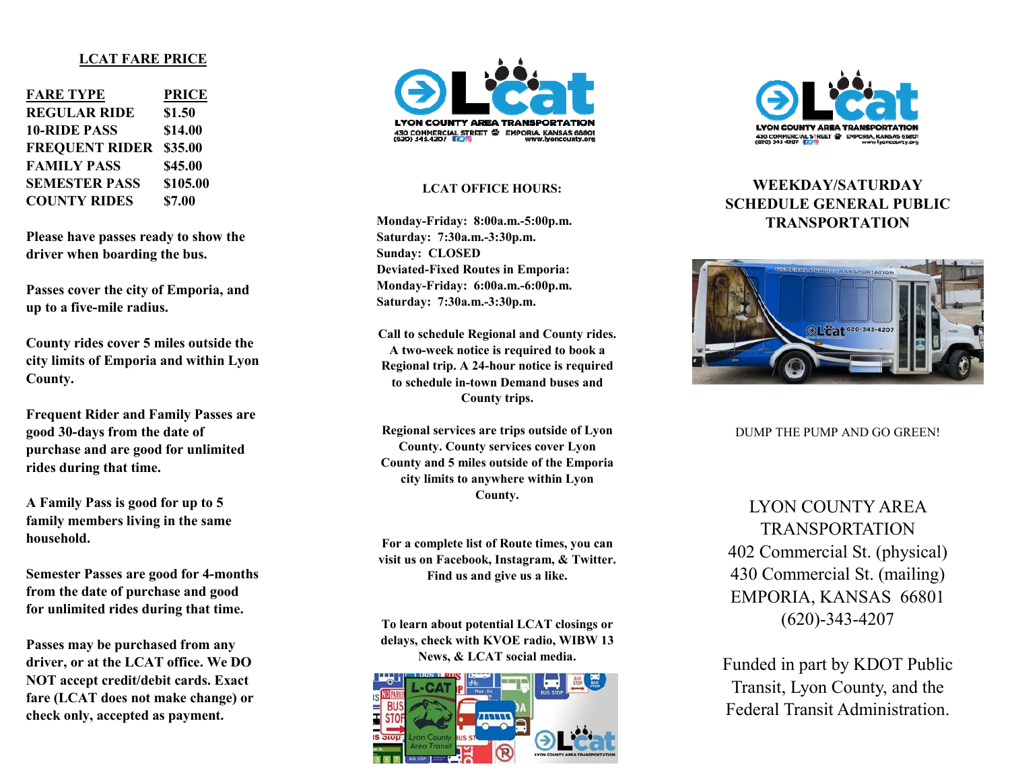#### **LCAT FARE PRICE**

| <b>FARE TYPE</b>      | <b>PRICE</b> |
|-----------------------|--------------|
| <b>REGULAR RIDE</b>   | \$1.50       |
| <b>10-RIDE PASS</b>   | \$14.00      |
| <b>FREQUENT RIDER</b> | \$35.00      |
| <b>FAMILY PASS</b>    | \$45.00      |
| <b>SEMESTER PASS</b>  | \$105.00     |
| <b>COUNTY RIDES</b>   | \$7.00       |

**Please have passes ready to show the driver when boarding the bus.** 

**Passes cover the city of Emporia, and up to a five-mile radius.** 

**County rides cover 5 miles outside the city limits of Emporia and within Lyon County.** 

**Frequent Rider and Family Passes are good 30-days from the date of purchase and are good for unlimited rides during that time.** 

**A Family Pass is good for up to 5 family members living in the same household.** 

**Semester Passes are good for 4-months from the date of purchase and good for unlimited rides during that time.** 

**Passes may be purchased from any driver, or at the LCAT office. We DO NOT accept credit/debit cards. Exact fare (LCAT does not make change) or check only, accepted as payment.** 



#### **LCAT OFFICE HOURS:**

**Monday-Friday: 8:00a.m.-5:00p.m. Saturday: 7:30a.m.-3:30p.m. Sunday: CLOSED Deviated-Fixed Routes in Emporia: Monday-Friday: 6:00a.m.-6:00p.m. Saturday: 7:30a.m.-3:30p.m.** 

**Call to schedule Regional and County rides. A two-week notice is required to book a Regional trip. A 24-hour notice is required to schedule in-town Demand buses and County trips.** 

**Regional services are trips outside of Lyon County. County services cover Lyon County and 5 miles outside of the Emporia city limits to anywhere within Lyon County.** 

**For a complete list of Route times, you can visit us on Facebook, Instagram, & Twitter. Find us and give us a like.** 

**To learn about potential LCAT closings or delays, check with KVOE radio, WIBW 13 News, & LCAT social media.** 





# **WEEKDAY/SATURDAY SCHEDULE GENERAL PUBLIC TRANSPORTATION**



DUMP THE PUMP AND GO GREEN!

LYON COUNTY AREA TRANSPORTATION 402 Commercial St. (physical) 430 Commercial St. (mailing) EMPORIA, KANSAS 66801 (620)-343-4207

Funded in part by KDOT Public Transit, Lyon County, and the Federal Transit Administration.